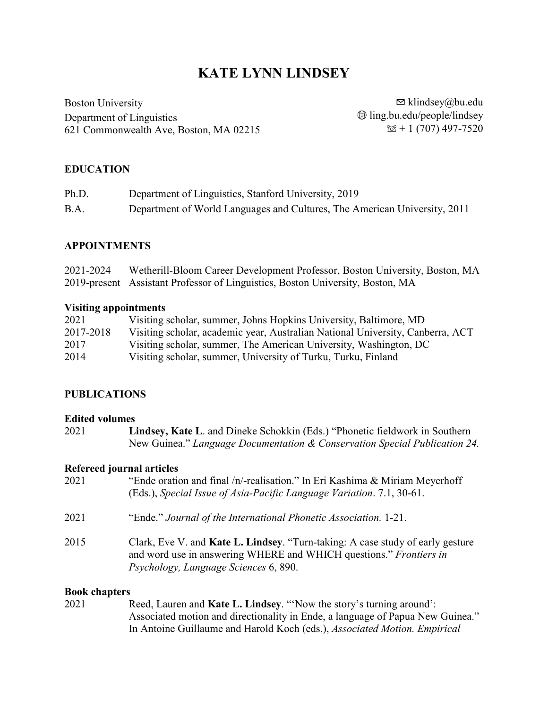# **KATE LYNN LINDSEY**

Boston University Department of Linguistics 621 Commonwealth Ave, Boston, MA 02215

 $\boxdot$  klindsey@bu.edu  $\bigoplus$  ling.bu.edu/people/lindsey  $\mathcal{B}$  + 1 (707) 497-7520

#### **EDUCATION**

| Ph.D. | Department of Linguistics, Stanford University, 2019                      |
|-------|---------------------------------------------------------------------------|
| B.A.  | Department of World Languages and Cultures, The American University, 2011 |

#### **APPOINTMENTS**

| 2021-2024 | Wetherill-Bloom Career Development Professor, Boston University, Boston, MA    |
|-----------|--------------------------------------------------------------------------------|
|           | 2019-present Assistant Professor of Linguistics, Boston University, Boston, MA |

#### **Visiting appointments**

| 2021      | Visiting scholar, summer, Johns Hopkins University, Baltimore, MD              |
|-----------|--------------------------------------------------------------------------------|
| 2017-2018 | Visiting scholar, academic year, Australian National University, Canberra, ACT |
| 2017      | Visiting scholar, summer, The American University, Washington, DC              |
| 2014      | Visiting scholar, summer, University of Turku, Turku, Finland                  |

#### **PUBLICATIONS**

#### **Edited volumes**

2021 **Lindsey, Kate L**. and Dineke Schokkin (Eds.) "Phonetic fieldwork in Southern New Guinea." *Language Documentation & Conservation Special Publication 24.*

#### **Refereed journal articles**

| 2021 | "Ende oration and final /n/-realisation." In Eri Kashima & Miriam Meyerhoff<br>(Eds.), Special Issue of Asia-Pacific Language Variation. 7.1, 30-61.                                                  |
|------|-------------------------------------------------------------------------------------------------------------------------------------------------------------------------------------------------------|
| 2021 | "Ende." Journal of the International Phonetic Association. 1-21.                                                                                                                                      |
| 2015 | Clark, Eve V. and <b>Kate L. Lindsey</b> . "Turn-taking: A case study of early gesture<br>and word use in answering WHERE and WHICH questions." Frontiers in<br>Psychology, Language Sciences 6, 890. |

#### **Book chapters**

2021 Reed, Lauren and **Kate L. Lindsey**. "'Now the story's turning around': Associated motion and directionality in Ende, a language of Papua New Guinea." In Antoine Guillaume and Harold Koch (eds.), *Associated Motion. Empirical*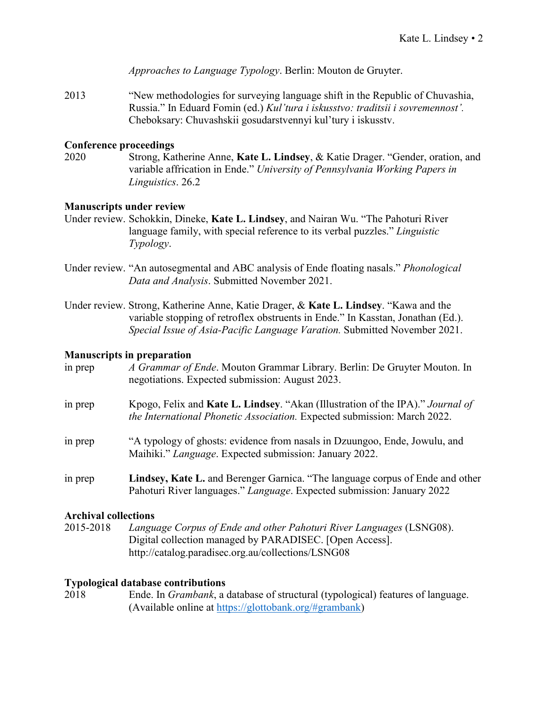*Approaches to Language Typology*. Berlin: Mouton de Gruyter.

2013 "New methodologies for surveying language shift in the Republic of Chuvashia, Russia." In Eduard Fomin (ed.) *Kul'tura i iskusstvo: traditsii i sovremennost'.* Cheboksary: Chuvashskii gosudarstvennyi kul'tury i iskusstv.

#### **Conference proceedings**

2020 Strong, Katherine Anne, **Kate L. Lindsey**, & Katie Drager. "Gender, oration, and variable affrication in Ende." *University of Pennsylvania Working Papers in Linguistics*. 26.2

#### **Manuscripts under review**

- Under review. Schokkin, Dineke, **Kate L. Lindsey**, and Nairan Wu. "The Pahoturi River language family, with special reference to its verbal puzzles." *Linguistic Typology*.
- Under review. "An autosegmental and ABC analysis of Ende floating nasals." *Phonological Data and Analysis*. Submitted November 2021.
- Under review. Strong, Katherine Anne, Katie Drager, & **Kate L. Lindsey**. "Kawa and the variable stopping of retroflex obstruents in Ende." In Kasstan, Jonathan (Ed.). *Special Issue of Asia-Pacific Language Varation.* Submitted November 2021.

#### **Manuscripts in preparation**

| in prep                     | A Grammar of Ende. Mouton Grammar Library. Berlin: De Gruyter Mouton. In<br>negotiations. Expected submission: August 2023.                                |
|-----------------------------|------------------------------------------------------------------------------------------------------------------------------------------------------------|
| in prep                     | Kpogo, Felix and Kate L. Lindsey. "Akan (Illustration of the IPA)." Journal of<br>the International Phonetic Association. Expected submission: March 2022. |
| in prep                     | "A typology of ghosts: evidence from nasals in Dzuungoo, Ende, Jowulu, and<br>Maihiki." Language. Expected submission: January 2022.                       |
| in prep                     | Lindsey, Kate L. and Berenger Garnica. "The language corpus of Ende and other<br>Pahoturi River languages." Language. Expected submission: January 2022    |
| <b>Archival collections</b> |                                                                                                                                                            |

### 2015-2018 *Language Corpus of Ende and other Pahoturi River Languages* (LSNG08). Digital collection managed by PARADISEC. [Open Access]. http://catalog.paradisec.org.au/collections/LSNG08

#### **Typological database contributions**

2018 Ende. In *Grambank*, a database of structural (typological) features of language. (Available online at [https://glottobank.org/#grambank\)](https://glottobank.org/#grambank)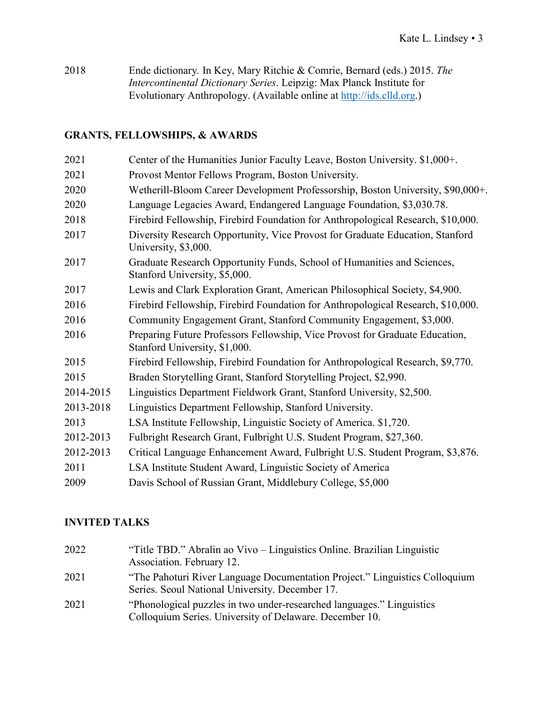2018 Ende dictionary*.* In Key, Mary Ritchie & Comrie, Bernard (eds.) 2015. *The Intercontinental Dictionary Series*. Leipzig: Max Planck Institute for Evolutionary Anthropology. (Available online at [http://ids.clld.org.](http://ids.clld.org/))

### **GRANTS, FELLOWSHIPS, & AWARDS**

| 2021      | Center of the Humanities Junior Faculty Leave, Boston University. \$1,000+.                                   |
|-----------|---------------------------------------------------------------------------------------------------------------|
| 2021      | Provost Mentor Fellows Program, Boston University.                                                            |
| 2020      | Wetherill-Bloom Career Development Professorship, Boston University, \$90,000+.                               |
| 2020      | Language Legacies Award, Endangered Language Foundation, \$3,030.78.                                          |
| 2018      | Firebird Fellowship, Firebird Foundation for Anthropological Research, \$10,000.                              |
| 2017      | Diversity Research Opportunity, Vice Provost for Graduate Education, Stanford<br>University, \$3,000.         |
| 2017      | Graduate Research Opportunity Funds, School of Humanities and Sciences,<br>Stanford University, \$5,000.      |
| 2017      | Lewis and Clark Exploration Grant, American Philosophical Society, \$4,900.                                   |
| 2016      | Firebird Fellowship, Firebird Foundation for Anthropological Research, \$10,000.                              |
| 2016      | Community Engagement Grant, Stanford Community Engagement, \$3,000.                                           |
| 2016      | Preparing Future Professors Fellowship, Vice Provost for Graduate Education,<br>Stanford University, \$1,000. |
| 2015      | Firebird Fellowship, Firebird Foundation for Anthropological Research, \$9,770.                               |
| 2015      | Braden Storytelling Grant, Stanford Storytelling Project, \$2,990.                                            |
| 2014-2015 | Linguistics Department Fieldwork Grant, Stanford University, \$2,500.                                         |
| 2013-2018 | Linguistics Department Fellowship, Stanford University.                                                       |
| 2013      | LSA Institute Fellowship, Linguistic Society of America. \$1,720.                                             |
| 2012-2013 | Fulbright Research Grant, Fulbright U.S. Student Program, \$27,360.                                           |
| 2012-2013 | Critical Language Enhancement Award, Fulbright U.S. Student Program, \$3,876.                                 |
| 2011      | LSA Institute Student Award, Linguistic Society of America                                                    |
| 2009      | Davis School of Russian Grant, Middlebury College, \$5,000                                                    |

### **INVITED TALKS**

| 2022 | "Title TBD." Abralin ao Vivo – Linguistics Online. Brazilian Linguistic<br>Association. February 12.                             |
|------|----------------------------------------------------------------------------------------------------------------------------------|
| 2021 | "The Pahoturi River Language Documentation Project." Linguistics Colloquium<br>Series. Seoul National University. December 17.   |
| 2021 | "Phonological puzzles in two under-researched languages." Linguistics<br>Colloquium Series. University of Delaware. December 10. |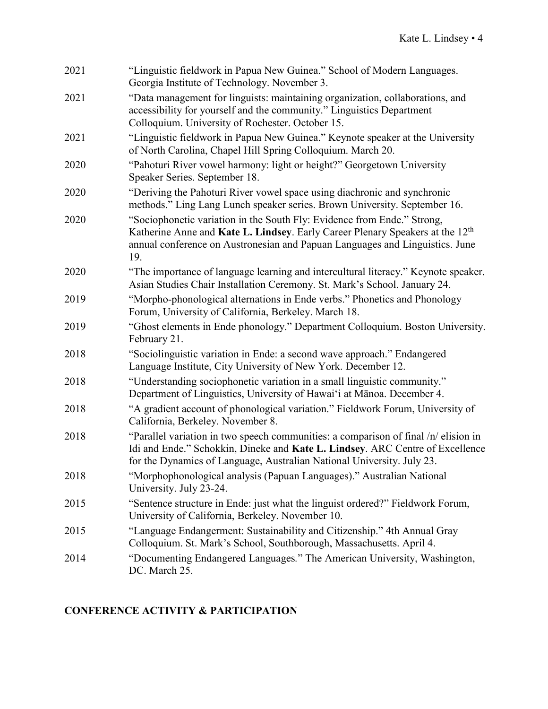| 2021 | "Linguistic fieldwork in Papua New Guinea." School of Modern Languages.<br>Georgia Institute of Technology. November 3.                                                                                                                                     |
|------|-------------------------------------------------------------------------------------------------------------------------------------------------------------------------------------------------------------------------------------------------------------|
| 2021 | "Data management for linguists: maintaining organization, collaborations, and<br>accessibility for yourself and the community." Linguistics Department<br>Colloquium. University of Rochester. October 15.                                                  |
| 2021 | "Linguistic fieldwork in Papua New Guinea." Keynote speaker at the University<br>of North Carolina, Chapel Hill Spring Colloquium. March 20.                                                                                                                |
| 2020 | "Pahoturi River vowel harmony: light or height?" Georgetown University<br>Speaker Series. September 18.                                                                                                                                                     |
| 2020 | "Deriving the Pahoturi River vowel space using diachronic and synchronic<br>methods." Ling Lang Lunch speaker series. Brown University. September 16.                                                                                                       |
| 2020 | "Sociophonetic variation in the South Fly: Evidence from Ende." Strong,<br>Katherine Anne and Kate L. Lindsey. Early Career Plenary Speakers at the 12 <sup>th</sup><br>annual conference on Austronesian and Papuan Languages and Linguistics. June<br>19. |
| 2020 | "The importance of language learning and intercultural literacy." Keynote speaker.<br>Asian Studies Chair Installation Ceremony. St. Mark's School. January 24.                                                                                             |
| 2019 | "Morpho-phonological alternations in Ende verbs." Phonetics and Phonology<br>Forum, University of California, Berkeley. March 18.                                                                                                                           |
| 2019 | "Ghost elements in Ende phonology." Department Colloquium. Boston University.<br>February 21.                                                                                                                                                               |
| 2018 | "Sociolinguistic variation in Ende: a second wave approach." Endangered<br>Language Institute, City University of New York. December 12.                                                                                                                    |
| 2018 | "Understanding sociophonetic variation in a small linguistic community."<br>Department of Linguistics, University of Hawai'i at Mānoa. December 4.                                                                                                          |
| 2018 | "A gradient account of phonological variation." Fieldwork Forum, University of<br>California, Berkeley. November 8.                                                                                                                                         |
| 2018 | "Parallel variation in two speech communities: a comparison of final /n/ elision in<br>Idi and Ende." Schokkin, Dineke and Kate L. Lindsey. ARC Centre of Excellence<br>for the Dynamics of Language, Australian National University. July 23.              |
| 2018 | "Morphophonological analysis (Papuan Languages)." Australian National<br>University. July 23-24.                                                                                                                                                            |
| 2015 | "Sentence structure in Ende: just what the linguist ordered?" Fieldwork Forum,<br>University of California, Berkeley. November 10.                                                                                                                          |
| 2015 | "Language Endangerment: Sustainability and Citizenship." 4th Annual Gray<br>Colloquium. St. Mark's School, Southborough, Massachusetts. April 4.                                                                                                            |
| 2014 | "Documenting Endangered Languages." The American University, Washington,<br>DC. March 25.                                                                                                                                                                   |

# **CONFERENCE ACTIVITY & PARTICIPATION**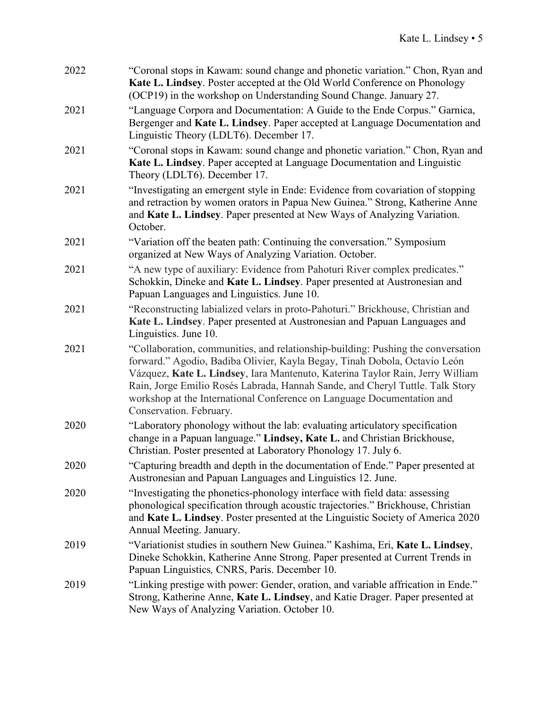| 2022 | "Coronal stops in Kawam: sound change and phonetic variation." Chon, Ryan and<br>Kate L. Lindsey. Poster accepted at the Old World Conference on Phonology<br>(OCP19) in the workshop on Understanding Sound Change. January 27.                                                                                                                                                                                                     |
|------|--------------------------------------------------------------------------------------------------------------------------------------------------------------------------------------------------------------------------------------------------------------------------------------------------------------------------------------------------------------------------------------------------------------------------------------|
| 2021 | "Language Corpora and Documentation: A Guide to the Ende Corpus." Garnica,<br>Bergenger and Kate L. Lindsey. Paper accepted at Language Documentation and<br>Linguistic Theory (LDLT6). December 17.                                                                                                                                                                                                                                 |
| 2021 | "Coronal stops in Kawam: sound change and phonetic variation." Chon, Ryan and<br>Kate L. Lindsey. Paper accepted at Language Documentation and Linguistic<br>Theory (LDLT6). December 17.                                                                                                                                                                                                                                            |
| 2021 | "Investigating an emergent style in Ende: Evidence from covariation of stopping<br>and retraction by women orators in Papua New Guinea." Strong, Katherine Anne<br>and Kate L. Lindsey. Paper presented at New Ways of Analyzing Variation.<br>October.                                                                                                                                                                              |
| 2021 | "Variation off the beaten path: Continuing the conversation." Symposium<br>organized at New Ways of Analyzing Variation. October.                                                                                                                                                                                                                                                                                                    |
| 2021 | "A new type of auxiliary: Evidence from Pahoturi River complex predicates."<br>Schokkin, Dineke and Kate L. Lindsey. Paper presented at Austronesian and<br>Papuan Languages and Linguistics. June 10.                                                                                                                                                                                                                               |
| 2021 | "Reconstructing labialized velars in proto-Pahoturi." Brickhouse, Christian and<br>Kate L. Lindsey. Paper presented at Austronesian and Papuan Languages and<br>Linguistics. June 10.                                                                                                                                                                                                                                                |
| 2021 | "Collaboration, communities, and relationship-building: Pushing the conversation<br>forward." Agodio, Badiba Olivier, Kayla Begay, Tinah Dobola, Octavio León<br>Vázquez, Kate L. Lindsey, Iara Mantenuto, Katerina Taylor Rain, Jerry William<br>Rain, Jorge Emilio Rosés Labrada, Hannah Sande, and Cheryl Tuttle. Talk Story<br>workshop at the International Conference on Language Documentation and<br>Conservation. February. |
| 2020 | "Laboratory phonology without the lab: evaluating articulatory specification<br>change in a Papuan language." Lindsey, Kate L. and Christian Brickhouse,<br>Christian. Poster presented at Laboratory Phonology 17. July 6.                                                                                                                                                                                                          |
| 2020 | "Capturing breadth and depth in the documentation of Ende." Paper presented at<br>Austronesian and Papuan Languages and Linguistics 12. June.                                                                                                                                                                                                                                                                                        |
| 2020 | "Investigating the phonetics-phonology interface with field data: assessing<br>phonological specification through acoustic trajectories." Brickhouse, Christian<br>and Kate L. Lindsey. Poster presented at the Linguistic Society of America 2020<br>Annual Meeting. January.                                                                                                                                                       |
| 2019 | "Variationist studies in southern New Guinea." Kashima, Eri, Kate L. Lindsey,<br>Dineke Schokkin, Katherine Anne Strong. Paper presented at Current Trends in<br>Papuan Linguistics, CNRS, Paris. December 10.                                                                                                                                                                                                                       |
| 2019 | "Linking prestige with power: Gender, oration, and variable affrication in Ende."<br>Strong, Katherine Anne, Kate L. Lindsey, and Katie Drager. Paper presented at<br>New Ways of Analyzing Variation. October 10.                                                                                                                                                                                                                   |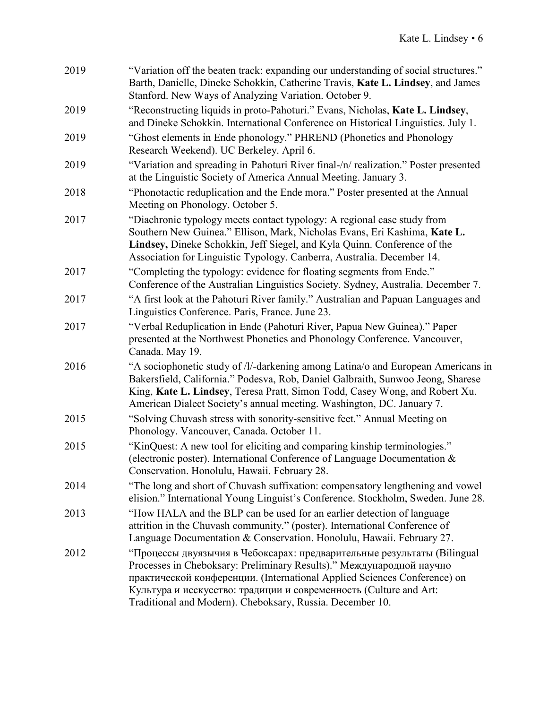| 2019 | "Variation off the beaten track: expanding our understanding of social structures."<br>Barth, Danielle, Dineke Schokkin, Catherine Travis, Kate L. Lindsey, and James<br>Stanford. New Ways of Analyzing Variation. October 9.                                                                                                                                |
|------|---------------------------------------------------------------------------------------------------------------------------------------------------------------------------------------------------------------------------------------------------------------------------------------------------------------------------------------------------------------|
| 2019 | "Reconstructing liquids in proto-Pahoturi." Evans, Nicholas, Kate L. Lindsey,<br>and Dineke Schokkin. International Conference on Historical Linguistics. July 1.                                                                                                                                                                                             |
| 2019 | "Ghost elements in Ende phonology." PHREND (Phonetics and Phonology<br>Research Weekend). UC Berkeley. April 6.                                                                                                                                                                                                                                               |
| 2019 | "Variation and spreading in Pahoturi River final-/n/ realization." Poster presented<br>at the Linguistic Society of America Annual Meeting. January 3.                                                                                                                                                                                                        |
| 2018 | "Phonotactic reduplication and the Ende mora." Poster presented at the Annual<br>Meeting on Phonology. October 5.                                                                                                                                                                                                                                             |
| 2017 | "Diachronic typology meets contact typology: A regional case study from<br>Southern New Guinea." Ellison, Mark, Nicholas Evans, Eri Kashima, Kate L.<br>Lindsey, Dineke Schokkin, Jeff Siegel, and Kyla Quinn. Conference of the<br>Association for Linguistic Typology. Canberra, Australia. December 14.                                                    |
| 2017 | "Completing the typology: evidence for floating segments from Ende."<br>Conference of the Australian Linguistics Society. Sydney, Australia. December 7.                                                                                                                                                                                                      |
| 2017 | "A first look at the Pahoturi River family." Australian and Papuan Languages and<br>Linguistics Conference. Paris, France. June 23.                                                                                                                                                                                                                           |
| 2017 | "Verbal Reduplication in Ende (Pahoturi River, Papua New Guinea)." Paper<br>presented at the Northwest Phonetics and Phonology Conference. Vancouver,<br>Canada. May 19.                                                                                                                                                                                      |
| 2016 | "A sociophonetic study of /l/-darkening among Latina/o and European Americans in<br>Bakersfield, California." Podesva, Rob, Daniel Galbraith, Sunwoo Jeong, Sharese<br>King, Kate L. Lindsey, Teresa Pratt, Simon Todd, Casey Wong, and Robert Xu.<br>American Dialect Society's annual meeting. Washington, DC. January 7.                                   |
| 2015 | "Solving Chuvash stress with sonority-sensitive feet." Annual Meeting on<br>Phonology. Vancouver, Canada. October 11.                                                                                                                                                                                                                                         |
| 2015 | "KinQuest: A new tool for eliciting and comparing kinship terminologies."<br>(electronic poster). International Conference of Language Documentation $\&$<br>Conservation. Honolulu, Hawaii. February 28.                                                                                                                                                     |
| 2014 | "The long and short of Chuvash suffixation: compensatory lengthening and vowel<br>elision." International Young Linguist's Conference. Stockholm, Sweden. June 28.                                                                                                                                                                                            |
| 2013 | "How HALA and the BLP can be used for an earlier detection of language<br>attrition in the Chuvash community." (poster). International Conference of<br>Language Documentation & Conservation. Honolulu, Hawaii. February 27.                                                                                                                                 |
| 2012 | "Процессы двуязычия в Чебоксарах: предварительные результаты (Bilingual<br>Processes in Cheboksary: Preliminary Results)." Международной научно<br>практической конференции. (International Applied Sciences Conference) on<br>Культура и исскусство: традиции и современность (Culture and Art:<br>Traditional and Modern). Cheboksary, Russia. December 10. |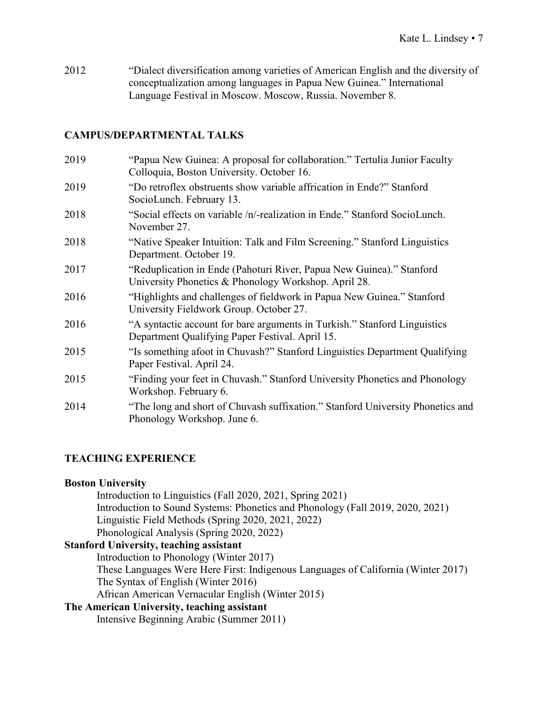2012 "Dialect diversification among varieties of American English and the diversity of conceptualization among languages in Papua New Guinea." International Language Festival in Moscow. Moscow, Russia. November 8.

### **CAMPUS/DEPARTMENTAL TALKS**

| 2019 | "Papua New Guinea: A proposal for collaboration." Tertulia Junior Faculty<br>Colloquia, Boston University. October 16.       |
|------|------------------------------------------------------------------------------------------------------------------------------|
| 2019 | "Do retroflex obstruents show variable affrication in Ende?" Stanford<br>SocioLunch. February 13.                            |
| 2018 | "Social effects on variable /n/-realization in Ende." Stanford SocioLunch.<br>November 27.                                   |
| 2018 | "Native Speaker Intuition: Talk and Film Screening." Stanford Linguistics<br>Department. October 19.                         |
| 2017 | "Reduplication in Ende (Pahoturi River, Papua New Guinea)." Stanford<br>University Phonetics & Phonology Workshop. April 28. |
| 2016 | "Highlights and challenges of fieldwork in Papua New Guinea." Stanford<br>University Fieldwork Group. October 27.            |
| 2016 | "A syntactic account for bare arguments in Turkish." Stanford Linguistics<br>Department Qualifying Paper Festival. April 15. |
| 2015 | "Is something a foot in Chuvash?" Stanford Linguistics Department Qualifying<br>Paper Festival. April 24.                    |
| 2015 | "Finding your feet in Chuvash." Stanford University Phonetics and Phonology<br>Workshop. February 6.                         |
| 2014 | "The long and short of Chuvash suffixation." Stanford University Phonetics and<br>Phonology Workshop. June 6.                |

### **TEACHING EXPERIENCE**

#### **Boston University**

Introduction to Linguistics (Fall 2020, 2021, Spring 2021) Introduction to Sound Systems: Phonetics and Phonology (Fall 2019, 2020, 2021) Linguistic Field Methods (Spring 2020, 2021, 2022) Phonological Analysis (Spring 2020, 2022)

## **Stanford University, teaching assistant**

Introduction to Phonology (Winter 2017) These Languages Were Here First: Indigenous Languages of California (Winter 2017)

The Syntax of English (Winter 2016)

African American Vernacular English (Winter 2015)

### **The American University, teaching assistant**

Intensive Beginning Arabic (Summer 2011)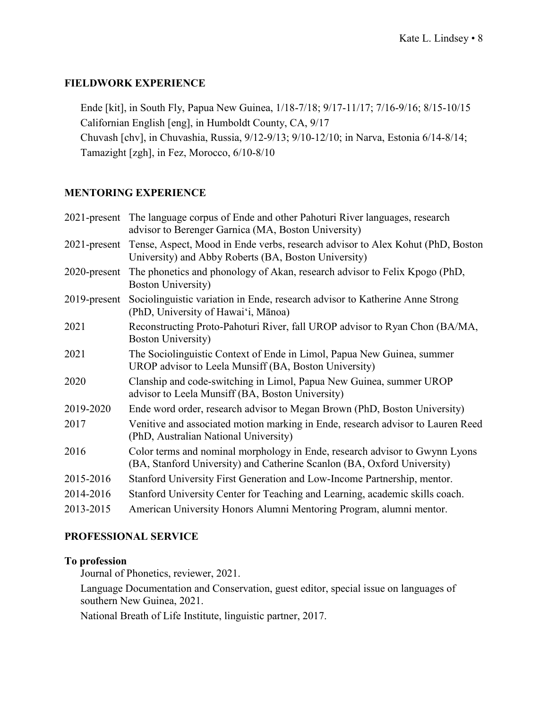### **FIELDWORK EXPERIENCE**

Ende [kit], in South Fly, Papua New Guinea, 1/18-7/18; 9/17-11/17; 7/16-9/16; 8/15-10/15 Californian English [eng], in Humboldt County, CA, 9/17 Chuvash [chv], in Chuvashia, Russia, 9/12-9/13; 9/10-12/10; in Narva, Estonia 6/14-8/14; Tamazight [zgh], in Fez, Morocco, 6/10-8/10

### **MENTORING EXPERIENCE**

|                 | 2021-present The language corpus of Ende and other Pahoturi River languages, research<br>advisor to Berenger Garnica (MA, Boston University)           |
|-----------------|--------------------------------------------------------------------------------------------------------------------------------------------------------|
|                 | 2021-present Tense, Aspect, Mood in Ende verbs, research advisor to Alex Kohut (PhD, Boston<br>University) and Abby Roberts (BA, Boston University)    |
| $2020$ -present | The phonetics and phonology of Akan, research advisor to Felix Kpogo (PhD,<br><b>Boston University</b> )                                               |
| $2019$ -present | Sociolinguistic variation in Ende, research advisor to Katherine Anne Strong<br>(PhD, University of Hawai'i, Mānoa)                                    |
| 2021            | Reconstructing Proto-Pahoturi River, fall UROP advisor to Ryan Chon (BA/MA,<br><b>Boston University</b> )                                              |
| 2021            | The Sociolinguistic Context of Ende in Limol, Papua New Guinea, summer<br>UROP advisor to Leela Munsiff (BA, Boston University)                        |
| 2020            | Clanship and code-switching in Limol, Papua New Guinea, summer UROP<br>advisor to Leela Munsiff (BA, Boston University)                                |
| 2019-2020       | Ende word order, research advisor to Megan Brown (PhD, Boston University)                                                                              |
| 2017            | Venitive and associated motion marking in Ende, research advisor to Lauren Reed<br>(PhD, Australian National University)                               |
| 2016            | Color terms and nominal morphology in Ende, research advisor to Gwynn Lyons<br>(BA, Stanford University) and Catherine Scanlon (BA, Oxford University) |
| 2015-2016       | Stanford University First Generation and Low-Income Partnership, mentor.                                                                               |
| 2014-2016       | Stanford University Center for Teaching and Learning, academic skills coach.                                                                           |
| 2013-2015       | American University Honors Alumni Mentoring Program, alumni mentor.                                                                                    |
|                 |                                                                                                                                                        |

### **PROFESSIONAL SERVICE**

### **To profession**

Journal of Phonetics, reviewer, 2021.

Language Documentation and Conservation, guest editor, special issue on languages of southern New Guinea, 2021.

National Breath of Life Institute, linguistic partner, 2017.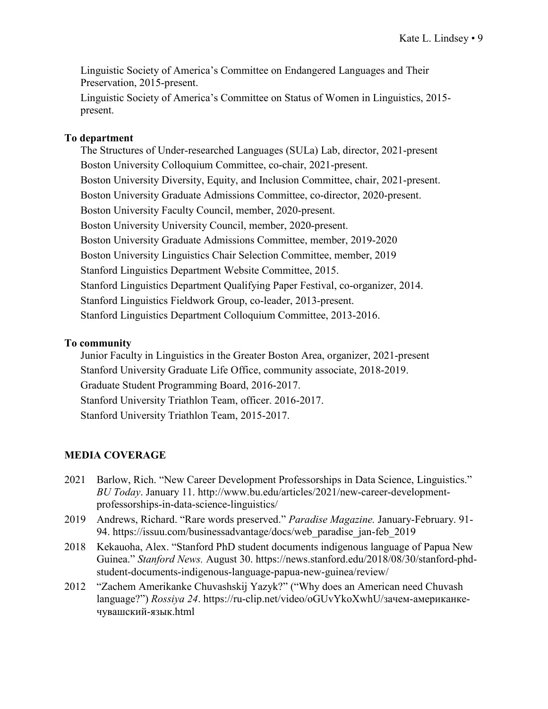Linguistic Society of America's Committee on Endangered Languages and Their Preservation, 2015-present.

Linguistic Society of America's Committee on Status of Women in Linguistics, 2015 present.

#### **To department**

The Structures of Under-researched Languages (SULa) Lab, director, 2021-present Boston University Colloquium Committee, co-chair, 2021-present. Boston University Diversity, Equity, and Inclusion Committee, chair, 2021-present. Boston University Graduate Admissions Committee, co-director, 2020-present. Boston University Faculty Council, member, 2020-present. Boston University University Council, member, 2020-present. Boston University Graduate Admissions Committee, member, 2019-2020 Boston University Linguistics Chair Selection Committee, member, 2019 Stanford Linguistics Department Website Committee, 2015. Stanford Linguistics Department Qualifying Paper Festival, co-organizer, 2014. Stanford Linguistics Fieldwork Group, co-leader, 2013-present. Stanford Linguistics Department Colloquium Committee, 2013-2016.

### **To community**

Junior Faculty in Linguistics in the Greater Boston Area, organizer, 2021-present Stanford University Graduate Life Office, community associate, 2018-2019. Graduate Student Programming Board, 2016-2017. Stanford University Triathlon Team, officer. 2016-2017. Stanford University Triathlon Team, 2015-2017.

### **MEDIA COVERAGE**

- 2021 Barlow, Rich. "New Career Development Professorships in Data Science, Linguistics." *BU Today*. January 11. http://www.bu.edu/articles/2021/new-career-developmentprofessorships-in-data-science-linguistics/
- 2019 Andrews, Richard. "Rare words preserved." *Paradise Magazine.* January-February. 91- 94. https://issuu.com/businessadvantage/docs/web\_paradise\_jan-feb\_2019
- 2018 Kekauoha, Alex. "Stanford PhD student documents indigenous language of Papua New Guinea." *Stanford News.* August 30. https://news.stanford.edu/2018/08/30/stanford-phdstudent-documents-indigenous-language-papua-new-guinea/review/
- 2012 "Zachem Amerikanke Chuvashskij Yazyk?" ("Why does an American need Chuvash language?") *Rossiya 24*. https://ru-clip.net/video/oGUvYkoXwhU/зачем-американкечувашский-язык.html